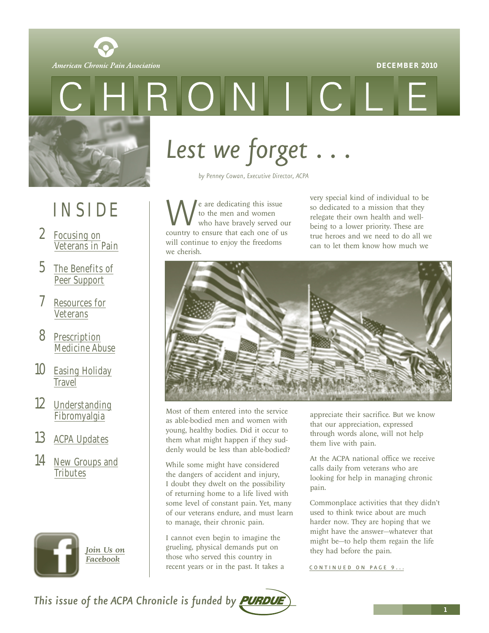

<span id="page-0-0"></span>

RONIC

## INSIDE

- 2 Focusing on [Veterans in Pain](#page-1-0)
- 5 [The Benefits of](#page-4-0) Peer Support
- 7 [Resources for](#page-6-0) Veterans
- 8 Prescription [Medicine Abuse](#page-7-0)
- 10 **[Easing Holiday](#page-9-0) Travel**
- 12 [Understanding](#page-11-0) Fibromyalgia
- 13 [ACPA Updates](#page-12-0)
- 14 [New Groups and](#page-13-0) **Tributes**



*Lest we forget . . .* 

*by Penney Cowan, Executive Director, ACPA*

We are dedicating this issue<br>to the men and women<br>country to ensure that each one of us to the men and women who have bravely served our will continue to enjoy the freedoms we cherish.

very special kind of individual to be so dedicated to a mission that they relegate their own health and wellbeing to a lower priority. These are true heroes and we need to do all we can to let them know how much we



Most of them entered into the service as able-bodied men and women with young, healthy bodies. Did it occur to them what might happen if they suddenly would be less than able-bodied?

While some might have considered the dangers of accident and injury, I doubt they dwelt on the possibility of returning home to a life lived with some level of constant pain. Yet, many of our veterans endure, and must learn to manage, their chronic pain.

I cannot even begin to imagine the grueling, physical demands put on those who served this country in recent years or in the past. It takes a *[Join Us on](http://www.facebook.com/pages/The-American-Chronic-Pain-Association/113362482021895#!)* **they** grueling, physical demands put on they had before the pain.

appreciate their sacrifice. But we know that our appreciation, expressed through words alone, will not help them live with pain.

At the ACPA national office we receive calls daily from veterans who are looking for help in managing chronic pain.

Commonplace activities that they didn't used to think twice about are much harder now. They are hoping that we might have the answer—whatever that might be—to help them regain the life

CONTINUED ON PAGE 9...

This issue of the ACPA Chronicle is funded by **PURDUE**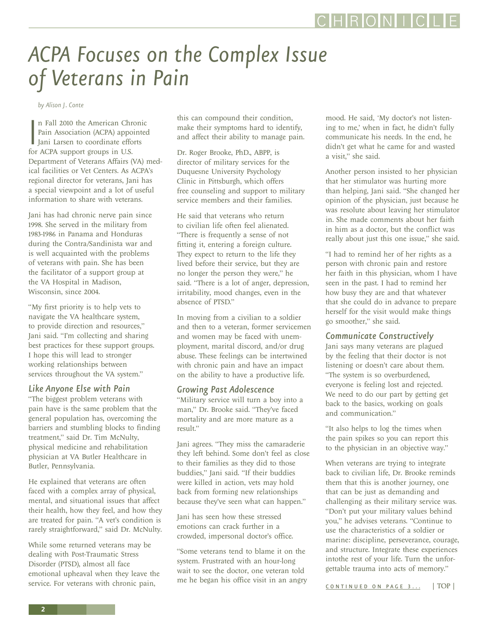## <span id="page-1-0"></span>*ACPA Focuses on the Complex Issue of Veterans in Pain*

*by Alison J. Conte*

n Fall 2010 the American Chr<br>Pain Association (ACPA) apport<br>Jani Larsen to coordinate eff<br>for ACPA support groups in U.S. n Fall 2010 the American Chronic Pain Association (ACPA) appointed I Jani Larsen to coordinate efforts Department of Veterans Affairs (VA) medical facilities or Vet Centers. As ACPA's regional director for veterans, Jani has a special viewpoint and a lot of useful information to share with veterans.

Jani has had chronic nerve pain since 1998. She served in the military from 1983-1986 in Panama and Honduras during the Contra/Sandinista war and is well acquainted with the problems of veterans with pain. She has been the facilitator of a support group at the VA Hospital in Madison, Wisconsin, since 2004.

"My first priority is to help vets to navigate the VA healthcare system, to provide direction and resources," Jani said. "I'm collecting and sharing best practices for these support groups. I hope this will lead to stronger working relationships between services throughout the VA system."

#### *Like Anyone Else with Pain*

"The biggest problem veterans with pain have is the same problem that the general population has, overcoming the barriers and stumbling blocks to finding treatment," said Dr. Tim McNulty, physical medicine and rehabilitation physician at VA Butler Healthcare in Butler, Pennsylvania.

He explained that veterans are often faced with a complex array of physical, mental, and situational issues that affect their health, how they feel, and how they are treated for pain. "A vet's condition is rarely straightforward," said Dr. McNulty.

While some returned veterans may be dealing with Post-Traumatic Stress Disorder (PTSD), almost all face emotional upheaval when they leave the service. For veterans with chronic pain,

this can compound their condition, make their symptoms hard to identify, and affect their ability to manage pain.

Dr. Roger Brooke, PhD., ABPP, is director of military services for the Duquesne University Psychology Clinic in Pittsburgh, which offers free counseling and support to military service members and their families.

He said that veterans who return to civilian life often feel alienated. "There is frequently a sense of not fitting it, entering a foreign culture. They expect to return to the life they lived before their service, but they are no longer the person they were," he said. "There is a lot of anger, depression, irritability, mood changes, even in the absence of PTSD."

In moving from a civilian to a soldier and then to a veteran, former servicemen and women may be faced with unemployment, marital discord, and/or drug abuse. These feelings can be intertwined with chronic pain and have an impact on the ability to have a productive life.

#### *Growing Past Adolescence*

"Military service will turn a boy into a man," Dr. Brooke said. "They've faced mortality and are more mature as a result."

Jani agrees. "They miss the camaraderie they left behind. Some don't feel as close to their families as they did to those buddies," Jani said. "If their buddies were killed in action, vets may hold back from forming new relationships because they've seen what can happen."

Jani has seen how these stressed emotions can crack further in a crowded, impersonal doctor's office.

"Some veterans tend to blame it on the system. Frustrated with an hour-long wait to see the doctor, one veteran told me he began his office visit in an angry mood. He said, 'My doctor's not listening to me,' when in fact, he didn't fully communicate his needs. In the end, he didn't get what he came for and wasted a visit," she said.

Another person insisted to her physician that her stimulator was hurting more than helping, Jani said. "She changed her opinion of the physician, just because he was resolute about leaving her stimulator in. She made comments about her faith in him as a doctor, but the conflict was really about just this one issue," she said.

"I had to remind her of her rights as a person with chronic pain and restore her faith in this physician, whom I have seen in the past. I had to remind her how busy they are and that whatever that she could do in advance to prepare herself for the visit would make things go smoother," she said.

### *Communicate Constructively*

Jani says many veterans are plagued by the feeling that their doctor is not listening or doesn't care about them. "The system is so overburdened, everyone is feeling lost and rejected. We need to do our part by getting get back to the basics, working on goals and communication."

"It also helps to log the times when the pain spikes so you can report this to the physician in an objective way."

When veterans are trying to integrate back to civilian life, Dr. Brooke reminds them that this is another journey, one that can be just as demanding and challenging as their military service was. "Don't put your military values behind you," he advises veterans. "Continue to use the characteristics of a soldier or marine: discipline, perseverance, courage, and structure. Integrate these experiences intothe rest of your life. Turn the unforgettable trauma into acts of memory."

[CONTINUED ON PAGE 3...](#page-2-0) [| TOP |](#page-0-0)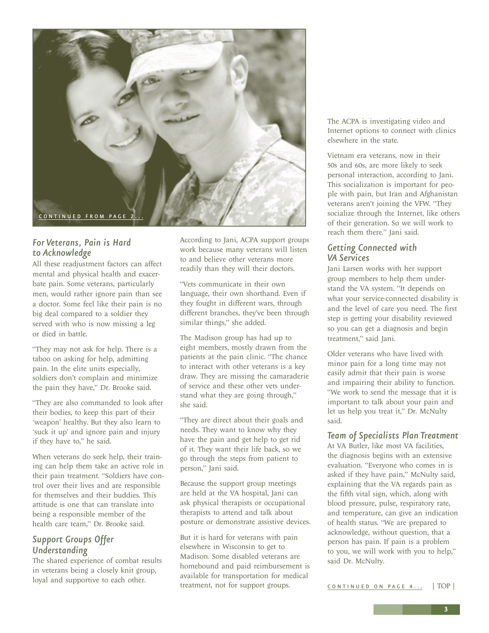<span id="page-2-0"></span>

### *For Veterans, Pain is Hard to Acknowledge*

All these readjustment factors can affect mental and physical health and exacerbate pain. Some veterans, particularly men, would rather ignore pain than see a doctor. Some feel like their pain is no big deal compared to a soldier they served with who is now missing a leg or died in battle.

"They may not ask for help. There is a taboo on asking for help, admitting pain. In the elite units especially, soldiers don't complain and minimize the pain they have," Dr. Brooke said.

"They are also commanded to look after their bodies, to keep this part of their 'weapon' healthy. But they also learn to 'suck it up' and ignore pain and injury if they have to," he said.

When veterans do seek help, their training can help them take an active role in their pain treatment. "Soldiers have control over their lives and are responsible for themselves and their buddies. This attitude is one that can translate into being a responsible member of the health care team," Dr. Brooke said.

### *Support Groups Offer Understanding*

The shared experience of combat results in veterans being a closely knit group, loyal and supportive to each other.

According to Jani, ACPA support groups work because many veterans will listen to and believe other veterans more readily than they will their doctors.

"Vets communicate in their own language, their own shorthand. Even if they fought in different wars, through different branches, they've been through similar things," she added.

The Madison group has had up to eight members, mostly drawn from the patients at the pain clinic. "The chance to interact with other veterans is a key draw. They are missing the camaraderie of service and these other vets understand what they are going through," she said.

"They are direct about their goals and needs. They want to know why they have the pain and get help to get rid of it. They want their life back, so we go through the steps from patient to person," Jani said.

Because the support group meetings are held at the VA hospital, Jani can ask physical therapists or occupational therapists to attend and talk about posture or demonstrate assistive devices.

But it is hard for veterans with pain elsewhere in Wisconsin to get to Madison. Some disabled veterans are homebound and paid reimbursement is available for transportation for medical treatment, not for support groups.

The ACPA is investigating video and Internet options to connect with clinics elsewhere in the state.

Vietnam era veterans, now in their 50s and 60s, are more likely to seek personal interaction, according to Jani. This socialization is important for people with pain, but Iran and Afghanistan veterans aren't joining the VFW. "They socialize through the Internet, like others of their generation. So we will work to reach them there." Jani said.

### *Getting Connected with VA Services*

Jani Larsen works with her support group members to help them understand the VA system. "It depends on what your service-connected disability is and the level of care you need. The first step is getting your disability reviewed so you can get a diagnosis and begin treatment," said Jani.

Older veterans who have lived with minor pain for a long time may not easily admit that their pain is worse and impairing their ability to function. "We work to send the message that it is important to talk about your pain and let us help you treat it," Dr. McNulty said.

*Team of Specialists Plan Treatment* At VA Butler, like most VA facilities, the diagnosis begins with an extensive evaluation. "Everyone who comes in is asked if they have pain," McNulty said, explaining that the VA regards pain as the fifth vital sign, which, along with blood pressure, pulse, respiratory rate, and temperature, can give an indication of health status. "We are prepared to acknowledge, without question, that a person has pain. If pain is a problem to you, we will work with you to help," said Dr. McNulty.

[CONTINUED ON PAGE 4 ...](#page-3-0) [| TOP |](#page-0-0)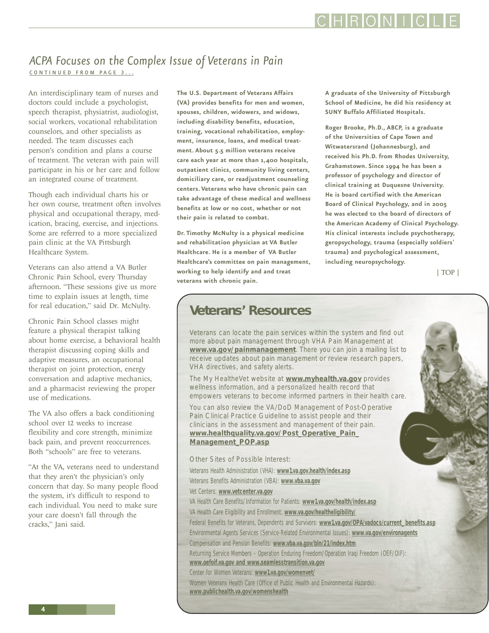### CHRONIC

### <span id="page-3-0"></span>*ACPA Focuses on the Complex Issue of Veterans in Pain*  [CONTINUED FROM PAGE 3 ...](#page-2-0)

An interdisciplinary team of nurses and doctors could include a psychologist, speech therapist, physiatrist, audiologist, social workers, vocational rehabilitation counselors, and other specialists as needed. The team discusses each person's condition and plans a course of treatment. The veteran with pain will participate in his or her care and follow an integrated course of treatment.

Though each individual charts his or her own course, treatment often involves physical and occupational therapy, medication, bracing, exercise, and injections. Some are referred to a more specialized pain clinic at the VA Pittsburgh Healthcare System.

Veterans can also attend a VA Butler Chronic Pain School, every Thursday afternoon. "These sessions give us more time to explain issues at length, time for real education," said Dr. McNulty.

Chronic Pain School classes might feature a physical therapist talking about home exercise, a behavioral health therapist discussing coping skills and adaptive measures, an occupational therapist on joint protection, energy conversation and adaptive mechanics, and a pharmacist reviewing the proper use of medications.

The VA also offers a back conditioning school over 12 weeks to increase flexibility and core strength, minimize back pain, and prevent reoccurrences. Both "schools" are free to veterans.

"At the VA, veterans need to understand that they aren't the physician's only concern that day. So many people flood the system, it's difficult to respond to each individual. You need to make sure your care doesn't fall through the cracks," Jani said.

**The U.S. Department of Veterans Affairs (VA) provides benefits for men and women, spouses, children, widowers, and widows, including disability benefits, education, training, vocational rehabilitation, employment, insurance, loans, and medical treatment. About 5.5 million veterans receive care each year at more than 1,400 hospitals, outpatient clinics, community living centers, domiciliary care, or readjustment counseling centers. Veterans who have chronic pain can take advantage of these medical and wellness benefits at low or no cost, whether or not their pain is related to combat.** 

**Dr. Timothy McNulty is a physical medicine and rehabilitation physician at VA Butler Healthcare. He is a member of VA Butler Healthcare's committee on pain management, working to help identify and and treat veterans with chronic pain.** 

**A graduate of the University of Pittsburgh School of Medicine, he did his residency at SUNY Buffalo Affiliated Hospitals.** 

**Roger Brooke, Ph.D., ABCP, is a graduate of the Universities of Cape Town and Witwatersrand (Johannesburg), and received his Ph.D. from Rhodes University, Grahamstown. Since 1994 he has been a professor of psychology and director of clinical training at Duquesne University. He is board certified with the American Board of Clinical Psychology, and in 2005 he was elected to the board of directors of the American Academy of Clinical Psychology. His clinical interests include psychotherapy, geropsychology, trauma (especially soldiers' trauma) and psychological assessment, including neuropsychology.**

[| TOP |](#page-0-0)

### **Veterans' Resources**

Veterans can locate the pain services within the system and find out more about pain management through VHA Pain Management at **<www.va.gov/painmanagement>**. There you can join a mailing list to receive updates about pain management or review research papers, VHA directives, and safety alerts.

The My HealtheVet website at **<www.myhealth.va.gov>** provides wellness information, and a personalized health record that empowers veterans to become informed partners in their health care.

You can also review the VA/DoD Management of Post-Operative Pain Clinical Practice Guideline to assist people and their clinicians in the assessment and management of their pain. **[www.healthquality.va.gov/Post\\_Operative\\_Pain\\_](www.healthquality.va.gov/Post_Operative_Pain_Management_POP.asp) Management\_POP.asp**

Other Sites of Possible Interest:

Veterans Health Administration (VHA): **<www1.va.gov.health/index.asp>**

- Veterans Benefits Administration (VBA): **<www.vba.va.gov>**
- Vet Centers: **<www.vetcenter.va.gov>**
- VA Health Care Benefits/Information for Patients: **<www1.va.gov/health/index.asp>**
- VA Health Care Eligibility and Enrollment: **<www.va.gov/healtheligibility/>**

Federal Benefits for Veterans, Dependents and Survivors: **[www1.va.gov/OPA/vadocs/current\\_benefits.asp](www1.va.gov/OPA/vadocs/current_benefits.asp)**

- Environmental Agents Services (Service-Related Environmental Issues): **<www.va.gov/environagents>**
- Compensation and Pension Benefits: **<www.vba.va.gov/bln/21/index.htm>**
- Returning Service Members Operation Enduring Freedom/Operation Iraqi Freedom (OEF/OIF):
- **<www.oefoif.va.gov and www.seamlesstransition.va.gov>**

Center for Women Veterans: **<www1.va.gov/womenvet/>**

Women Veterans Health Care (Office of Public Health and Environmental Hazards): **<www.publichealth.va.gov/womenshealth>**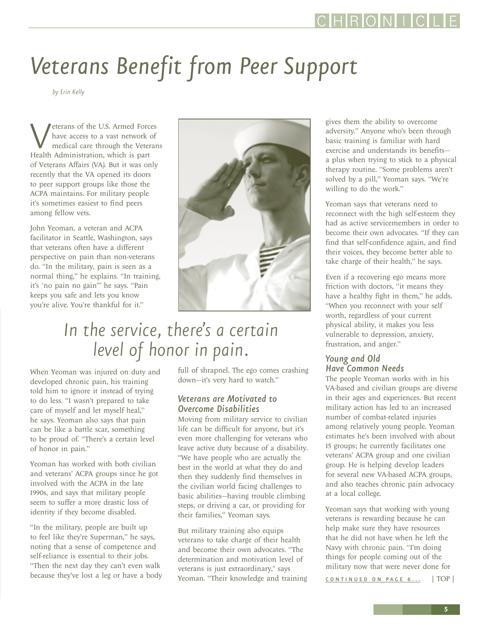# <span id="page-4-0"></span>*Veterans Benefit from Peer Support*

*by Erin Kelly*

**Veterans of the U.S. Armed Forces**<br>have access to a vast network of<br>Health Administration, which is part have access to a vast network of medical care through the Veterans of Veterans Affairs (VA). But it was only recently that the VA opened its doors to peer support groups like those the ACPA maintains. For military people it's sometimes easiest to find peers among fellow vets.

John Yeoman, a veteran and ACPA facilitator in Seattle, Washington, says that veterans often have a different perspective on pain than non-veterans do. "In the military, pain is seen as a normal thing," he explains. "In training, it's 'no pain no gain'" he says. "Pain keeps you safe and lets you know you're alive. You're thankful for it."



### *In the service, there's a certain level of honor in pain.*

When Yeoman was injured on duty and developed chronic pain, his training told him to ignore it instead of trying to do less. "I wasn't prepared to take care of myself and let myself heal," he says. Yeoman also says that pain can be like a battle scar, something to be proud of. "There's a certain level of honor in pain."

Yeoman has worked with both civilian and veterans' ACPA groups since he got involved with the ACPA in the late 1990s, and says that military people seem to suffer a more drastic loss of identity if they become disabled.

"In the military, people are built up to feel like they're Superman," he says, noting that a sense of competence and self-reliance is essential to their jobs. "Then the next day they can't even walk because they've lost a leg or have a body full of shrapnel. The ego comes crashing down—it's very hard to watch."

### *Veterans are Motivated to Overcome Disabilities*

Moving from military service to civilian life can be difficult for anyone, but it's even more challenging for veterans who leave active duty because of a disability. "We have people who are actually the best in the world at what they do and then they suddenly find themselves in the civilian world facing challenges to basic abilities—having trouble climbing steps, or driving a car, or providing for their families," Yeoman says.

But military training also equips veterans to take charge of their health and become their own advocates. "The determination and motivation level of veterans is just extraordinary," says Yeoman. "Their knowledge and training

gives them the ability to overcome adversity." Anyone who's been through basic training is familiar with hard exercise and understands its benefits a plus when trying to stick to a physical therapy routine. "Some problems aren't solved by a pill," Yeoman says. "We're willing to do the work."

Yeoman says that veterans need to reconnect with the high self-esteem they had as active servicemembers in order to become their own advocates. "If they can find that self-confidence again, and find their voices, they become better able to take charge of their health," he says.

Even if a recovering ego means more friction with doctors, "it means they have a healthy fight in them," he adds. "When you reconnect with your self worth, regardless of your current physical ability, it makes you less vulnerable to depression, anxiety, frustration, and anger."

### *Young and Old Have Common Needs*

The people Yeoman works with in his VA-based and civilian groups are diverse in their ages and experiences. But recent military action has led to an increased number of combat-related injuries among relatively young people. Yeoman estimates he's been involved with about 15 groups; he currently facilitates one veterans' ACPA group and one civilian group. He is helping develop leaders for several new VA-based ACPA groups, and also teaches chronic pain advocacy at a local college.

Yeoman says that working with young veterans is rewarding because he can help make sure they have resources that he did not have when he left the Navy with chronic pain. "I'm doing things for people coming out of the military now that were never done for

CONTINUED ON PAGE 6... [| TOP |](#page-0-0)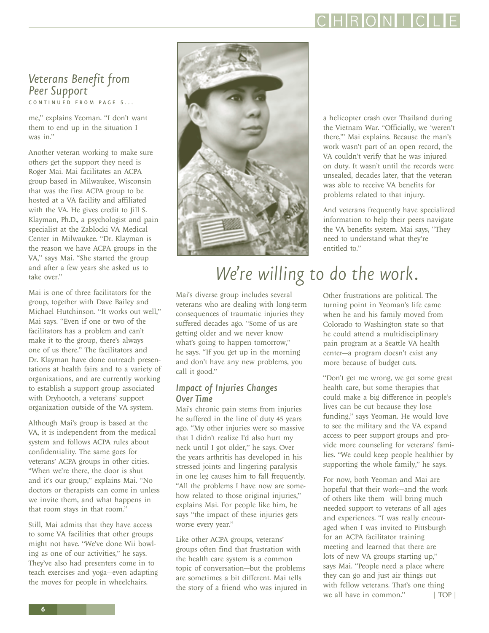### CHRONIC

### <span id="page-5-0"></span>*Veterans Benefit from Peer Support* [CONTINUED FROM PAGE 5 ...](#page-4-0)

me," explains Yeoman. "I don't want them to end up in the situation I was in."

Another veteran working to make sure others get the support they need is Roger Mai. Mai facilitates an ACPA group based in Milwaukee, Wisconsin that was the first ACPA group to be hosted at a VA facility and affiliated with the VA. He gives credit to Jill S. Klayman, Ph.D., a psychologist and pain specialist at the Zablocki VA Medical Center in Milwaukee. "Dr. Klayman is the reason we have ACPA groups in the VA," says Mai. "She started the group and after a few years she asked us to take over."

Mai is one of three facilitators for the group, together with Dave Bailey and Michael Hutchinson. "It works out well," Mai says. "Even if one or two of the facilitators has a problem and can't make it to the group, there's always one of us there." The facilitators and Dr. Klayman have done outreach presentations at health fairs and to a variety of organizations, and are currently working to establish a support group associated with Dryhootch, a veterans' support organization outside of the VA system.

Although Mai's group is based at the VA, it is independent from the medical system and follows ACPA rules about confidentiality. The same goes for veterans' ACPA groups in other cities. "When we're there, the door is shut and it's our group," explains Mai. "No doctors or therapists can come in unless we invite them, and what happens in that room stays in that room."

Still, Mai admits that they have access to some VA facilities that other groups might not have. "We've done Wii bowling as one of our activities," he says. They've also had presenters come in to teach exercises and yoga—even adapting the moves for people in wheelchairs.



a helicopter crash over Thailand during the Vietnam War. "Officially, we 'weren't there,'" Mai explains. Because the man's work wasn't part of an open record, the VA couldn't verify that he was injured on duty. It wasn't until the records were unsealed, decades later, that the veteran was able to receive VA benefits for problems related to that injury.

And veterans frequently have specialized information to help their peers navigate the VA benefits system. Mai says, "They need to understand what they're entitled to."

### *We're willing to do the work.*

Mai's diverse group includes several veterans who are dealing with long-term consequences of traumatic injuries they suffered decades ago. "Some of us are getting older and we never know what's going to happen tomorrow," he says. "If you get up in the morning and don't have any new problems, you call it good."

### *Impact of Injuries Changes Over Time*

Mai's chronic pain stems from injuries he suffered in the line of duty 45 years ago. "My other injuries were so massive that I didn't realize I'd also hurt my neck until I got older," he says. Over the years arthritis has developed in his stressed joints and lingering paralysis in one leg causes him to fall frequently. "All the problems I have now are somehow related to those original injuries," explains Mai. For people like him, he says "the impact of these injuries gets worse every year."

Like other ACPA groups, veterans' groups often find that frustration with the health care system is a common topic of conversation—but the problems are sometimes a bit different. Mai tells the story of a friend who was injured in Other frustrations are political. The turning point in Yeoman's life came when he and his family moved from Colorado to Washington state so that he could attend a multidisciplinary pain program at a Seattle VA health center—a program doesn't exist any more because of budget cuts.

"Don't get me wrong, we get some great health care, but some therapies that could make a big difference in people's lives can be cut because they lose funding," says Yeoman. He would love to see the military and the VA expand access to peer support groups and provide more counseling for veterans' families. "We could keep people healthier by supporting the whole family," he says.

For now, both Yeoman and Mai are hopeful that their work—and the work of others like them—will bring much needed support to veterans of all ages and experiences. "I was really encouraged when I was invited to Pittsburgh for an ACPA facilitator training meeting and learned that there are lots of new VA groups starting up," says Mai. "People need a place where they can go and just air things out with fellow veterans. That's one thing we all have in common." [| TOP |](#page-0-0)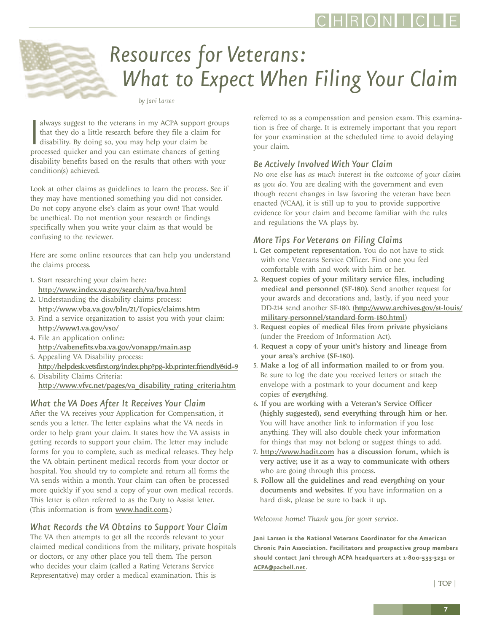<span id="page-6-0"></span>

# *Resources for Veterans: What to Expect When Filing Your Claim*

*by Jani Larsen*

always suggest to the veterans in my ACPA support grou<br>that they do a little research before they file a claim for<br>disability. By doing so, you may help your claim be<br>processed quicker and you can estimate chances of getti always suggest to the veterans in my ACPA support groups that they do a little research before they file a claim for disability. By doing so, you may help your claim be disability benefits based on the results that others with your condition(s) achieved.

Look at other claims as guidelines to learn the process. See if they may have mentioned something you did not consider. Do not copy anyone else's claim as your own! That would be unethical. Do not mention your research or findings specifically when you write your claim as that would be confusing to the reviewer.

Here are some online resources that can help you understand the claims process.

- 1. Start researching your claim here: <http://www.index.va.gov/search/va/bva.html>
- 2. Understanding the disability claims process: <http://www.vba.va.gov/bln/21/Topics/claims.htm>
- 3. Find a service organization to assist you with your claim: <http://www1.va.gov/vso/>
- 4. File an application online: <http://vabenefits.vba.va.gov/vonapp/main.asp>
- 5. Appealing VA Disability process: <http://helpdesk.vetsfirst.org/index.php?pg=kb.printer.friendly&id=9>
- 6. Disability Claims Criteria: [http://www.vfvc.net/pages/va\\_disability\\_rating\\_criteria.htm](http://www.vfvc.net/pages/va_disability_rating_criteria.htm)

### *What the VA Does After It Receives Your Claim*

After the VA receives your Application for Compensation, it sends you a letter. The letter explains what the VA needs in order to help grant your claim. It states how the VA assists in getting records to support your claim. The letter may include forms for you to complete, such as medical releases. They help the VA obtain pertinent medical records from your doctor or hospital. You should try to complete and return all forms the VA sends within a month. Your claim can often be processed more quickly if you send a copy of your own medical records. This letter is often referred to as the Duty to Assist letter. (This information is from <www.hadit.com>.)

### *What Records the VA Obtains to Support Your Claim*

The VA then attempts to get all the records relevant to your claimed medical conditions from the military, private hospitals or doctors, or any other place you tell them. The person who decides your claim (called a Rating Veterans Service Representative) may order a medical examination. This is

referred to as a compensation and pension exam. This examination is free of charge. It is extremely important that you report for your examination at the scheduled time to avoid delaying your claim.

### *Be Actively Involved With Your Claim*

*No one else has as much interest in the outcome of your claim as you do.* You are dealing with the government and even though recent changes in law favoring the veteran have been enacted (VCAA), it is still up to you to provide supportive evidence for your claim and become familiar with the rules and regulations the VA plays by.

### *More Tips For Veterans on Filing Claims*

- 1. Get competent representation. You do not have to stick with one Veterans Service Officer. Find one you feel comfortable with and work with him or her.
- 2. Request copies of your military service files, including medical and personnel (SF-180). Send another request for your awards and decorations and, lastly, if you need your DD-214 send another SF-180. ([http://www.archives.gov/st-louis/](http://www.archives.gov/st-louis/military-personnel/standard-form-180.html) [military-personnel/standard-form-180.html](http://www.archives.gov/st-louis/military-personnel/standard-form-180.html))
- 3. Request copies of medical files from private physicians (under the Freedom of Information Act).
- 4. Request a copy of your unit's history and lineage from your area's archive (SF-180).
- 5. Make a log of all information mailed to or from you. Be sure to log the date you received letters or attach the envelope with a postmark to your document and keep copies of *everything*.
- 6. If you are working with a Veteran's Service Officer (highly suggested), send everything through him or her. You will have another link to information if you lose anything. They will also double check your information for things that may not belong or suggest things to add.
- 7. <http://www.hadit.com> has a discussion forum, which is very active; use it as a way to communicate with others who are going through this process.
- 8. Follow all the guidelines and read *everything* on your documents and websites. If you have information on a hard disk, please be sure to back it up.

*Welcome home! Thank you for your service.*

**Jani Larsen is the National Veterans Coordinator for the American Chronic Pain Association. Facilitators and prospective group members should contact Jani through ACPA headquarters at 1-800-533-3231 or [ACPA@pacbell.net.](mailto:ACPA@pacbell.net)**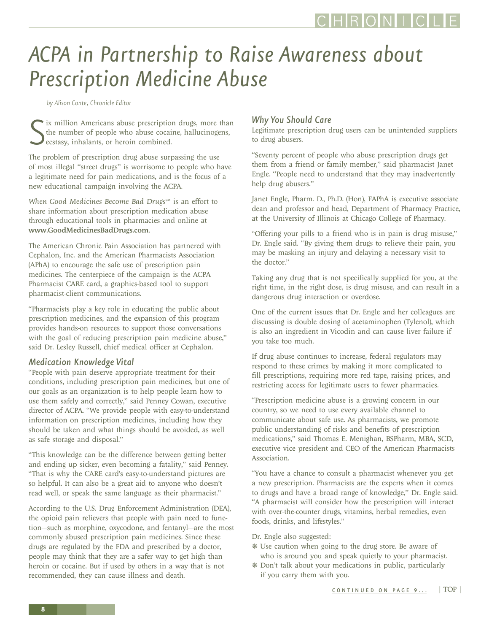## <span id="page-7-0"></span>*ACPA in Partnership to Raise Awareness about Prescription Medicine Abuse*

*by Alison Conte, Chronicle Editor*

S ix million Americans abuse prescription drugs, more than the number of people who abuse cocaine, hallucinogens, ecstasy, inhalants, or heroin combined.

The problem of prescription drug abuse surpassing the use of most illegal "street drugs" is worrisome to people who have a legitimate need for pain medications, and is the focus of a new educational campaign involving the ACPA.

*When Good Medicines Become Bad Drugs<sup>SM</sup>* is an effort to share information about prescription medication abuse through educational tools in pharmacies and online at <www.GoodMedicinesBadDrugs.com>.

The American Chronic Pain Association has partnered with Cephalon, Inc. and the American Pharmacists Association (APhA) to encourage the safe use of prescription pain medicines. The centerpiece of the campaign is the ACPA Pharmacist CARE card, a graphics-based tool to support pharmacist-client communications.

"Pharmacists play a key role in educating the public about prescription medicines, and the expansion of this program provides hands-on resources to support those conversations with the goal of reducing prescription pain medicine abuse," said Dr. Lesley Russell, chief medical officer at Cephalon.

### *Medication Knowledge Vital*

"People with pain deserve appropriate treatment for their conditions, including prescription pain medicines, but one of our goals as an organization is to help people learn how to use them safely and correctly," said Penney Cowan, executive director of ACPA. "We provide people with easy-to-understand information on prescription medicines, including how they should be taken and what things should be avoided, as well as safe storage and disposal."

"This knowledge can be the difference between getting better and ending up sicker, even becoming a fatality," said Penney. "That is why the CARE card's easy-to-understand pictures are so helpful. It can also be a great aid to anyone who doesn't read well, or speak the same language as their pharmacist."

According to the U.S. Drug Enforcement Administration (DEA), the opioid pain relievers that people with pain need to function—such as morphine, oxycodone, and fentanyl—are the most commonly abused prescription pain medicines. Since these drugs are regulated by the FDA and prescribed by a doctor, people may think that they are a safer way to get high than heroin or cocaine. But if used by others in a way that is not recommended, they can cause illness and death.

### *Why You Should Care*

Legitimate prescription drug users can be unintended suppliers to drug abusers.

"Seventy percent of people who abuse prescription drugs get them from a friend or family member," said pharmacist Janet Engle. "People need to understand that they may inadvertently help drug abusers."

Janet Engle, Pharm. D., Ph.D. (Hon), FAPhA is executive associate dean and professor and head, Department of Pharmacy Practice, at the University of Illinois at Chicago College of Pharmacy.

"Offering your pills to a friend who is in pain is drug misuse," Dr. Engle said. "By giving them drugs to relieve their pain, you may be masking an injury and delaying a necessary visit to the doctor."

Taking any drug that is not specifically supplied for you, at the right time, in the right dose, is drug misuse, and can result in a dangerous drug interaction or overdose.

One of the current issues that Dr. Engle and her colleagues are discussing is double dosing of acetaminophen (Tylenol), which is also an ingredient in Vicodin and can cause liver failure if you take too much.

If drug abuse continues to increase, federal regulators may respond to these crimes by making it more complicated to fill prescriptions, requiring more red tape, raising prices, and restricting access for legitimate users to fewer pharmacies.

"Prescription medicine abuse is a growing concern in our country, so we need to use every available channel to communicate about safe use. As pharmacists, we promote public understanding of risks and benefits of prescription medications," said Thomas E. Menighan, BSPharm, MBA, SCD, executive vice president and CEO of the American Pharmacists Association.

"You have a chance to consult a pharmacist whenever you get a new prescription. Pharmacists are the experts when it comes to drugs and have a broad range of knowledge," Dr. Engle said. "A pharmacist will consider how the prescription will interact with over-the-counter drugs, vitamins, herbal remedies, even foods, drinks, and lifestyles."

Dr. Engle also suggested:

- ❋ Use caution when going to the drug store. Be aware of who is around you and speak quietly to your pharmacist.
- ❋ Don't talk about your medications in public, particularly if you carry them with you.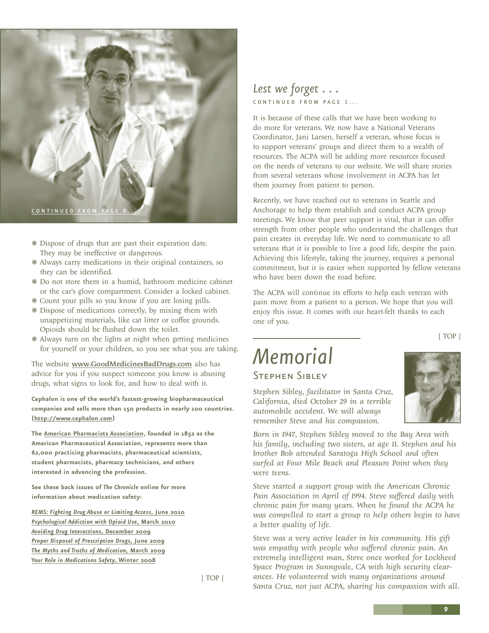<span id="page-8-0"></span>

- ❋ Dispose of drugs that are past their expiration date. They may be ineffective or dangerous.
- ❋ Always carry medications in their original containers, so they can be identified.
- ❋ Do not store them in a humid, bathroom medicine cabinet or the car's glove compartment. Consider a locked cabinet.
- ❋ Count your pills so you know if you are losing pills.
- ❋ Dispose of medications correctly, by mixing them with unappetizing materials, like cat litter or coffee grounds. Opioids should be flushed down the toilet.
- ❋ Always turn on the lights at night when getting medicines for yourself or your children, so you see what you are taking.

The website <www.GoodMedicinesBadDrugs.com> also has advice for you if you suspect someone you know is abusing drugs, what signs to look for, and how to deal with it.

**Cephalon is one of the world's fastest-growing biopharmaceutical companies and sells more than 150 products in nearly 100 countries. ([http://www.cephalon.com\)](http://www.cephalon.com)** 

**The [American Pharmacists Association,](http://www.pharmacist.com/) founded in 1852 as the American Pharmaceutical Association, represents more than 62,000 practicing pharmacists, pharmaceutical scientists, student pharmacists, pharmacy technicians, and others interested in advancing the profession.**

**See these back issues of** *The Chronicle* **online for more information about medication safety:**

*[REMS: Fighting Drug Abuse or Limiting Access](http://www.theacpa.org/uploads/documents/chronicle_ONLINE_june2010.pdf)***, June 2010** *[Psychological Addiction with Opioid Use](http://www.theacpa.org/uploads/documents/chronicle_march2010_ONLINE.pdf)***, March 2010** *[Avoiding Drug Interactions](http://www.theacpa.org/uploads/documents/chronicle_dec09_ONLINE_120909.pdf)***, December 2009** *[Proper Disposal of Prescription Drugs](http://www.theacpa.org/uploads/documents/chronicle_ONLINE_june09.pdf)***, June 2009** *[The Myths and Truths of Medication](http://www.theacpa.org/uploads/documents/chronicle_spring_09.pdf)***, March 2009** *[Your Role in Medications Safety](http://www.theacpa.org/uploads/documents/chronicle_winter_spring08_WEB_31108.pdf)***, Winter 2008**

[| TOP |](#page-0-0)

### *Lest we forget . . .*  CONTINUED FROM PAGE 1...

It is because of these calls that we have been working to do more for veterans. We now have a National Veterans Coordinator, Jani Larsen, herself a veteran, whose focus is to support veterans' groups and direct them to a wealth of resources. The ACPA will be adding more resources focused on the needs of veterans to our website. We will share stories from several veterans whose involvement in ACPA has let them journey from patient to person.

Recently, we have reached out to veterans in Seattle and Anchorage to help them establish and conduct ACPA group meetings. We know that peer support is vital, that it can offer strength from other people who understand the challenges that pain creates in everyday life. We need to communicate to all veterans that it is possible to live a good life, despite the pain. Achieving this lifestyle, taking the journey, requires a personal commitment, but it is easier when supported by fellow veterans who have been down the road before.

The ACPA will continue its efforts to help each veteran with pain move from a patient to a person. We hope that you will enjoy this issue. It comes with our heart-felt thanks to each one of you.

[| TOP |](#page-0-0)

### *Memorial* Stephen Sibley

*Stephen Sibley, facilitator in Santa Cruz, California, died October 29 in a terrible automobile accident. We will always remember Steve and his compassion.*

*Born in 1947, Stephen Sibley moved to the Bay Area with his family, including two sisters, at age 11. Stephen and his brother Bob attended Saratoga High School and often surfed at Four Mile Beach and Pleasure Point when they were teens.*

*Steve started a support group with the American Chronic Pain Association in April of 1994. Steve suffered daily with chronic pain for many years. When he found the ACPA he was compelled to start a group to help others begin to have a better quality of life.* 

*Steve was a very active leader in his community. His gift was empathy with people who suffered chronic pain. An extremely intelligent man, Steve once worked for Lockheed Space Program in Sunnyvale, CA with high security clearances. He volunteered with many organizations around Santa Cruz, not just ACPA, sharing his compassion with all.*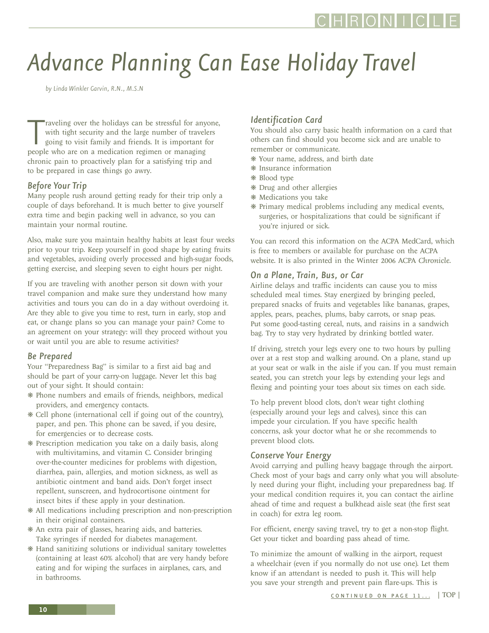# <span id="page-9-0"></span>*Advance Planning Can Ease Holiday Travel*

*by Linda Winkler Garvin, R.N., M.S.N*

Traveling over the holidays can be stressful for any with tight security and the large number of traveles going to visit family and friends. It is important free people who are on a medication regimen or managing raveling over the holidays can be stressful for anyone, with tight security and the large number of travelers going to visit family and friends. It is important for chronic pain to proactively plan for a satisfying trip and to be prepared in case things go awry.

### *Before Your Trip*

Many people rush around getting ready for their trip only a couple of days beforehand. It is much better to give yourself extra time and begin packing well in advance, so you can maintain your normal routine.

Also, make sure you maintain healthy habits at least four weeks prior to your trip. Keep yourself in good shape by eating fruits and vegetables, avoiding overly processed and high-sugar foods, getting exercise, and sleeping seven to eight hours per night.

If you are traveling with another person sit down with your travel companion and make sure they understand how many activities and tours you can do in a day without overdoing it. Are they able to give you time to rest, turn in early, stop and eat, or change plans so you can manage your pain? Come to an agreement on your strategy: will they proceed without you or wait until you are able to resume activities?

### *Be Prepared*

Your "Preparedness Bag" is similar to a first aid bag and should be part of your carry-on luggage. Never let this bag out of your sight. It should contain:

- ❋ Phone numbers and emails of friends, neighbors, medical providers, and emergency contacts.
- ❋ Cell phone (international cell if going out of the country), paper, and pen. This phone can be saved, if you desire, for emergencies or to decrease costs.
- ❋ Prescription medication you take on a daily basis, along with multivitamins, and vitamin C. Consider bringing over-the-counter medicines for problems with digestion, diarrhea, pain, allergies, and motion sickness, as well as antibiotic ointment and band aids. Don't forget insect repellent, sunscreen, and hydrocortisone ointment for insect bites if these apply in your destination.
- ❋ All medications including prescription and non-prescription in their original containers.
- ❋ An extra pair of glasses, hearing aids, and batteries. Take syringes if needed for diabetes management.
- ❋ Hand sanitizing solutions or individual sanitary towelettes (containing at least 60% alcohol) that are very handy before eating and for wiping the surfaces in airplanes, cars, and in bathrooms.

### *Identification Card*

You should also carry basic health information on a card that others can find should you become sick and are unable to remember or communicate.

- ❋ Your name, address, and birth date
- ❋ Insurance information
- ❋ Blood type
- ❋ Drug and other allergies
- ❋ Medications you take
- ❋ Primary medical problems including any medical events, surgeries, or hospitalizations that could be significant if you're injured or sick.

You can record this information on the ACPA MedCard, which is free to members or available for purchase on the ACPA website. It is also printed in the Winter 2006 ACPA *Chronicle*.

### *On a Plane, Train, Bus, or Car*

Airline delays and traffic incidents can cause you to miss scheduled meal times. Stay energized by bringing peeled, prepared snacks of fruits and vegetables like bananas, grapes, apples, pears, peaches, plums, baby carrots, or snap peas. Put some good-tasting cereal, nuts, and raisins in a sandwich bag. Try to stay very hydrated by drinking bottled water.

If driving, stretch your legs every one to two hours by pulling over at a rest stop and walking around. On a plane, stand up at your seat or walk in the aisle if you can. If you must remain seated, you can stretch your legs by extending your legs and flexing and pointing your toes about six times on each side.

To help prevent blood clots, don't wear tight clothing (especially around your legs and calves), since this can impede your circulation. If you have specific health concerns, ask your doctor what he or she recommends to prevent blood clots.

### *Conserve Your Energy*

Avoid carrying and pulling heavy baggage through the airport. Check most of your bags and carry only what you will absolutely need during your flight, including your preparedness bag. If your medical condition requires it, you can contact the airline ahead of time and request a bulkhead aisle seat (the first seat in coach) for extra leg room.

For efficient, energy saving travel, try to get a non-stop flight. Get your ticket and boarding pass ahead of time.

To minimize the amount of walking in the airport, request a wheelchair (even if you normally do not use one). Let them know if an attendant is needed to push it. This will help you save your strength and prevent pain flare-ups. This is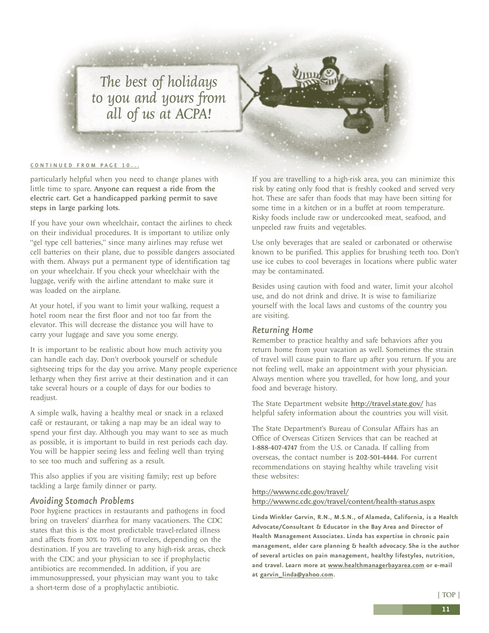<span id="page-10-0"></span>*The best of holidays to you and yours from all of us at ACPA!*

#### [CONTINUED FROM PAGE 10...](#page-9-0)

particularly helpful when you need to change planes with little time to spare. Anyone can request a ride from the electric cart. Get a handicapped parking permit to save steps in large parking lots.

If you have your own wheelchair, contact the airlines to check on their individual procedures. It is important to utilize only "gel type cell batteries," since many airlines may refuse wet cell batteries on their plane, due to possible dangers associated with them. Always put a permanent type of identification tag on your wheelchair. If you check your wheelchair with the luggage, verify with the airline attendant to make sure it was loaded on the airplane.

At your hotel, if you want to limit your walking, request a hotel room near the first floor and not too far from the elevator. This will decrease the distance you will have to carry your luggage and save you some energy.

It is important to be realistic about how much activity you can handle each day. Don't overbook yourself or schedule sightseeing trips for the day you arrive. Many people experience lethargy when they first arrive at their destination and it can take several hours or a couple of days for our bodies to readjust.

A simple walk, having a healthy meal or snack in a relaxed café or restaurant, or taking a nap may be an ideal way to spend your first day. Although you may want to see as much as possible, it is important to build in rest periods each day. You will be happier seeing less and feeling well than trying to see too much and suffering as a result.

This also applies if you are visiting family; rest up before tackling a large family dinner or party.

#### *Avoiding Stomach Problems*

Poor hygiene practices in restaurants and pathogens in food bring on travelers' diarrhea for many vacationers. The CDC states that this is the most predictable travel-related illness and affects from 30% to 70% of travelers, depending on the destination. If you are traveling to any high-risk areas, check with the CDC and your physician to see if prophylactic antibiotics are recommended. In addition, if you are immunosuppressed, your physician may want you to take a short-term dose of a prophylactic antibiotic.

If you are travelling to a high-risk area, you can minimize this risk by eating only food that is freshly cooked and served very hot. These are safer than foods that may have been sitting for some time in a kitchen or in a buffet at room temperature. Risky foods include raw or undercooked meat, seafood, and unpeeled raw fruits and vegetables.

Use only beverages that are sealed or carbonated or otherwise known to be purified. This applies for brushing teeth too. Don't use ice cubes to cool beverages in locations where public water may be contaminated.

Besides using caution with food and water, limit your alcohol use, and do not drink and drive. It is wise to familiarize yourself with the local laws and customs of the country you are visiting.

#### *Returning Home*

Remember to practice healthy and safe behaviors after you return home from your vacation as well. Sometimes the strain of travel will cause pain to flare up after you return. If you are not feeling well, make an appointment with your physician. Always mention where you travelled, for how long, and your food and beverage history.

The State Department website <http://travel.state.gov/> has helpful safety information about the countries you will visit.

The State Department's Bureau of Consular Affairs has an Office of Overseas Citizen Services that can be reached at 1-888-407-4747 from the U.S. or Canada. If calling from overseas, the contact number is 202-501-4444. For current recommendations on staying healthy while traveling visit these websites:

#### <http://wwwnc.cdc.gov/travel/> <http://wwwnc.cdc.gov/travel/content/health-status.aspx>

**Linda Winkler Garvin, R.N., M.S.N., of Alameda, California, is a Health Advocate/Consultant & Educator in the Bay Area and Director of Health Management Associates. Linda has expertise in chronic pain management, elder care planning & health advocacy. She is the author of several articles on pain management, healthy lifestyles, nutrition, and travel. Learn more at<www.healthmanagerbayarea.com> or e-mail at [garvin\\_linda@yahoo.com](mailto:garvin_linda@yahoo.com).**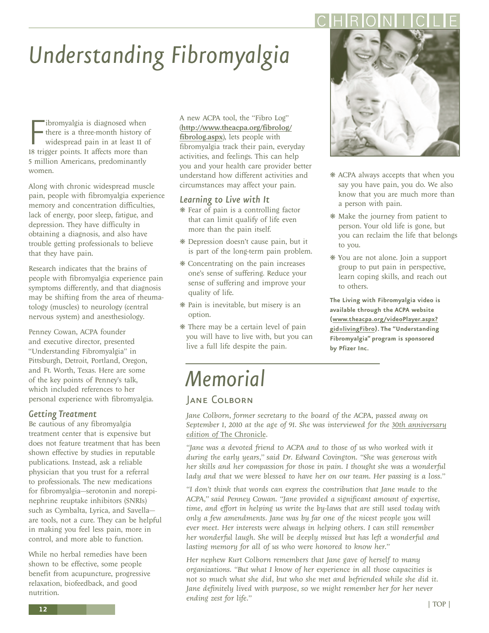# <span id="page-11-0"></span>*Understanding Fibromyalgia*

**F** ibromyalgia is diagnosed when<br>there is a three-month history of<br>widespread pain in at least 11 of<br>18 trigger points. It affects more than ibromyalgia is diagnosed when there is a three-month history of widespread pain in at least 11 of 5 million Americans, predominantly women.

Along with chronic widespread muscle pain, people with fibromyalgia experience memory and concentration difficulties, lack of energy, poor sleep, fatigue, and depression. They have difficulty in obtaining a diagnosis, and also have trouble getting professionals to believe that they have pain.

Research indicates that the brains of people with fibromyalgia experience pain symptoms differently, and that diagnosis may be shifting from the area of rheumatology (muscles) to neurology (central nervous system) and anesthesiology.

Penney Cowan, ACPA founder and executive director, presented "Understanding Fibromyalgia" in Pittsburgh, Detroit, Portland, Oregon, and Ft. Worth, Texas. Here are some of the key points of Penney's talk, which included references to her personal experience with fibromyalgia.

### *Getting Treatment*

Be cautious of any fibromyalgia treatment center that is expensive but does not feature treatment that has been shown effective by studies in reputable publications. Instead, ask a reliable physician that you trust for a referral to professionals. The new medications for fibromyalgia—serotonin and norepinephrine reuptake inhibitors (SNRIs) such as Cymbalta, Lyrica, and Savella are tools, not a cure. They can be helpful in making you feel less pain, more in control, and more able to function.

While no herbal remedies have been shown to be effective, some people benefit from acupuncture, progressive relaxation, biofeedback, and good nutrition.

A new ACPA tool, the "Fibro Log" (http://www.theacpa.org/fibrolog/ fibrolog.aspx), lets people with fibromyalgia track their pain, everyday activities, and feelings. This can help you and your health care provider better understand how different activities and circumstances may affect your pain.

### *Learning to Live with It*

- ❋ Fear of pain is a controlling factor that can limit qualify of life even more than the pain itself.
- ❋ Depression doesn't cause pain, but it is part of the long-term pain problem.
- ❋ Concentrating on the pain increases one's sense of suffering. Reduce your sense of suffering and improve your quality of life.
- ❋ Pain is inevitable, but misery is an option.
- ❋ There may be a certain level of pain you will have to live with, but you can live a full life despite the pain.



- ❋ ACPA always accepts that when you say you have pain, you do. We also know that you are much more than a person with pain.
- ❋ Make the journey from patient to person. Your old life is gone, but you can reclaim the life that belongs to you.
- ❋ You are not alone. Join a support group to put pain in perspective, learn coping skills, and reach out to others.

**The Living with Fibromyalgia video is available through the ACPA website (www.theacpa.org/videoPlayer.aspx? gid=livingFibro). The "Understanding Fibromyalgia" program is sponsored by Pfizer Inc.**

# *Memorial*

### **JANE COLBORN**

*Jane Colborn, former secretary to the board of the ACPA, passed away on September 1, 2010 at the age of 91. She was interviewed for the 30th anniversary edition of* The Chronicle*.* 

"Jane was a devoted friend to ACPA and to those of us who worked with it *during the early years," said Dr. Edward Covington. "She was generous with her skills and her compassion for those in pain. I thought she was a wonderful lady and that we were blessed to have her on our team. Her passing is a loss."* 

*"I don't think that words can express the contribution that Jane made to the ACPA," said Penney Cowan. "Jane provided a significant amount of expertise, time, and effort in helping us write the by-laws that are still used today with only a few amendments. Jane was by far one of the nicest people you will ever meet. Her interests were always in helping others. I can still remember her wonderful laugh. She will be deeply missed but has left a wonderful and lasting memory for all of us who were honored to know her."* 

*Her nephew Kurt Colborn remembers that Jane gave of herself to many organizations. "But what I know of her experience in all those capacities is not so much what she did, but who she met and befriended while she did it.* Jane definitely lived with purpose, so we might remember her for her never *ending zest for life."*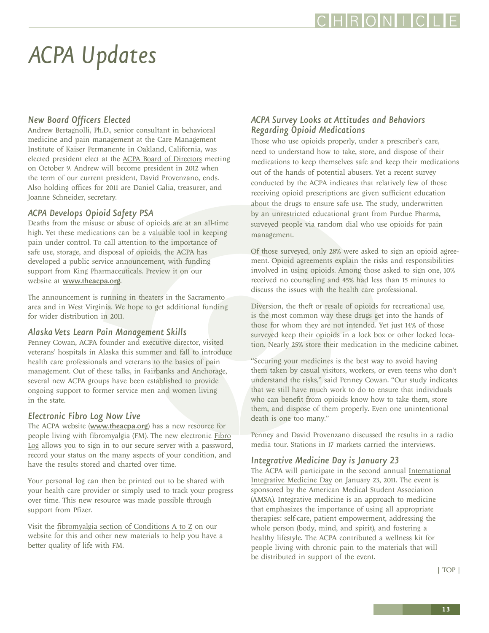### HRONI I

# <span id="page-12-0"></span>*ACPA Updates*

### *New Board Officers Elected*

Andrew Bertagnolli, Ph.D., senior consultant in behavioral medicine and pain management at the Care Management Institute of Kaiser Permanente in Oakland, California, was elected president elect at the ACPA Board of Directors meeting on October 9. Andrew will become president in 2012 when the term of our current president, David Provenzano, ends. Also holding offices for 2011 are Daniel Galia, treasurer, and Joanne Schneider, secretary.

### *ACPA Develops Opioid Safety PSA*

support from King Pharmaceuticals. Preview it on our website at www.theacpa.org. Deaths from the misuse or abuse of opioids are at an all-time high. Yet these medications can be a valuable tool in keeping pain under control. To call attention to the importance of safe use, storage, and disposal of opioids, the ACPA has developed a public service announcement, with funding website at www.theacpa.org.

 The announcement is running in theaters in the Sacramento area and in West Virginia. We hope to get additional funding for wider distribution in 2011.

### *Alaska Vets Learn Pain Management Skills*

Penney Cowan, ACPA founder and executive director, visited veterans' hospitals in Alaska this summer and fall to introduce health care professionals and veterans to the basics of pain management. Out of these talks, in Fairbanks and Anchorage, several new ACPA groups have been established to provide ongoing support to former service men and women living in the state.

### *Electronic Fibro Log Now Live*

The ACPA website (www.theacpa.org) has a new resource for people living with fibromyalgia (FM). The new electronic Fibro Log allows you to sign in to our secure server with a password, record your status on the many aspects of your condition, and have the results stored and charted over time.

Your personal log can then be printed out to be shared with your health care provider or simply used to track your progress over time. This new resource was made possible through support from Pfizer.

Visit the fibromyalgia section of Conditions A to Z on our website for this and other new materials to help you have a better quality of life with FM.

### *ACPA Survey Looks at Attitudes and Behaviors Regarding Opioid Medications*

Those who use opioids properly, under a prescriber's care, need to understand how to take, store, and dispose of their medications to keep themselves safe and keep their medications out of the hands of potential abusers. Yet a recent survey conducted by the ACPA indicates that relatively few of those receiving opioid prescriptions are given sufficient education about the drugs to ensure safe use. The study, underwritten by an unrestricted educational grant from Purdue Pharma, surveyed people via random dial who use opioids for pain management.

Of those surveyed, only 28% were asked to sign an opioid agreement. Opioid agreements explain the risks and responsibilities involved in using opioids. Among those asked to sign one, 10% received no counseling and 45% had less than 15 minutes to discuss the issues with the health care professional.

Diversion, the theft or resale of opioids for recreational use, is the most common way these drugs get into the hands of those for whom they are not intended. Yet just 14% of those surveyed keep their opioids in a lock box or other locked location. Nearly 25% store their medication in the medicine cabinet.

"Securing your medicines is the best way to avoid having them taken by casual visitors, workers, or even teens who don't understand the risks," said Penney Cowan. "Our study indicates that we still have much work to do to ensure that individuals who can benefit from opioids know how to take them, store them, and dispose of them properly. Even one unintentional death is one too many."

Penney and David Provenzano discussed the results in a radio media tour. Stations in 17 markets carried the interviews.

### *Integrative Medicine Day is January 23*

The ACPA will participate in the second annual International Integrative Medicine Day on January 23, 2011. The event is sponsored by the American Medical Student Association (AMSA). Integrative medicine is an approach to medicine that emphasizes the importance of using all appropriate therapies: self-care, patient empowerment, addressing the whole person (body, mind, and spirit), and fostering a healthy lifestyle. The ACPA contributed a wellness kit for people living with chronic pain to the materials that will be distributed in support of the event.

| TOP |